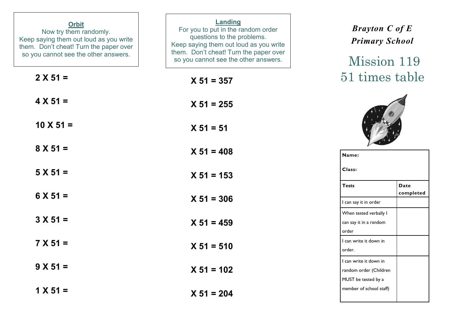| <b>Orbit</b><br>Now try them randomly.<br>Keep saying them out loud as you write<br>them. Don't cheat! Turn the paper over<br>so you cannot see the other answers. | Landing<br>For you to put in the random order<br>questions to the problems.<br>Keep saying them out loud as you write<br>them. Don't cheat! Turn the paper over<br>so you cannot see the other answers. | <b>Brayton C of E</b><br><b>Primary School</b><br>Mission 119           |
|--------------------------------------------------------------------------------------------------------------------------------------------------------------------|---------------------------------------------------------------------------------------------------------------------------------------------------------------------------------------------------------|-------------------------------------------------------------------------|
| $2 X 51 =$                                                                                                                                                         | $X 51 = 357$                                                                                                                                                                                            | 51 times table                                                          |
| $4 X 51 =$                                                                                                                                                         | $X 51 = 255$                                                                                                                                                                                            |                                                                         |
| $10 \times 51 =$                                                                                                                                                   | $X 51 = 51$                                                                                                                                                                                             |                                                                         |
| $8 X 51 =$                                                                                                                                                         | $X 51 = 408$                                                                                                                                                                                            | Name:                                                                   |
| $5 X 51 =$                                                                                                                                                         | $X 51 = 153$                                                                                                                                                                                            | Class:                                                                  |
| $6 X 51 =$                                                                                                                                                         | $X 51 = 306$                                                                                                                                                                                            | <b>Tests</b><br><b>Date</b><br>completed<br>I can say it in order       |
| $3 X 51 =$                                                                                                                                                         | $X 51 = 459$                                                                                                                                                                                            | When tested verbally I<br>can say it in a random<br>order               |
| $7 X 51 =$                                                                                                                                                         | $X 51 = 510$                                                                                                                                                                                            | I can write it down in<br>order.                                        |
| $9 X 51 =$                                                                                                                                                         | $X 51 = 102$                                                                                                                                                                                            | I can write it down in<br>random order (Children<br>MUST be tested by a |
| $1 X 51 =$                                                                                                                                                         | $X 51 = 204$                                                                                                                                                                                            | member of school staff)                                                 |